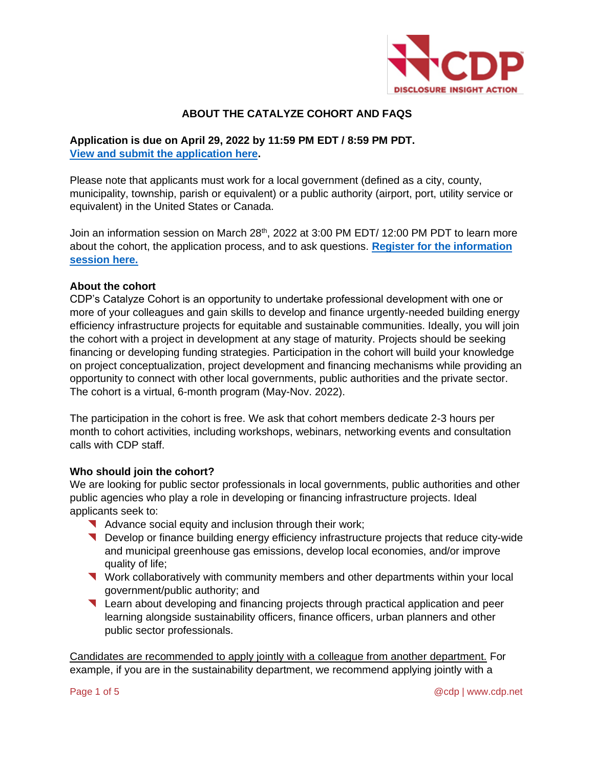

# **ABOUT THE CATALYZE COHORT AND FAQS**

# **Application is due on April 29, 2022 by 11:59 PM EDT / 8:59 PM PDT. [View and submit the application here.](https://survey.alchemer.com/s3/6724279/Application-for-CDP-s-Catalyze-Cohort-2022)**

Please note that applicants must work for a local government (defined as a city, county, municipality, township, parish or equivalent) or a public authority (airport, port, utility service or equivalent) in the United States or Canada.

Join an information session on March 28<sup>th</sup>, 2022 at 3:00 PM EDT/ 12:00 PM PDT to learn more about the cohort, the application process, and to ask questions. **[Register for the information](https://cdproject.webex.com/cdproject/j.php?RGID=r18c7aaaa6c7b7b1b24aba103e28ba2cd)  [session here.](https://cdproject.webex.com/cdproject/j.php?RGID=r18c7aaaa6c7b7b1b24aba103e28ba2cd)**

### **About the cohort**

CDP's Catalyze Cohort is an opportunity to undertake professional development with one or more of your colleagues and gain skills to develop and finance urgently-needed building energy efficiency infrastructure projects for equitable and sustainable communities. Ideally, you will join the cohort with a project in development at any stage of maturity. Projects should be seeking financing or developing funding strategies. Participation in the cohort will build your knowledge on project conceptualization, project development and financing mechanisms while providing an opportunity to connect with other local governments, public authorities and the private sector. The cohort is a virtual, 6-month program (May-Nov. 2022).

The participation in the cohort is free. We ask that cohort members dedicate 2-3 hours per month to cohort activities, including workshops, webinars, networking events and consultation calls with CDP staff.

### **Who should join the cohort?**

We are looking for public sector professionals in local governments, public authorities and other public agencies who play a role in developing or financing infrastructure projects. Ideal applicants seek to:

- Advance social equity and inclusion through their work;
- Develop or finance building energy efficiency infrastructure projects that reduce city-wide and municipal greenhouse gas emissions, develop local economies, and/or improve quality of life;
- Work collaboratively with community members and other departments within your local government/public authority; and
- Learn about developing and financing projects through practical application and peer learning alongside sustainability officers, finance officers, urban planners and other public sector professionals.

Candidates are recommended to apply jointly with a colleague from another department. For example, if you are in the sustainability department, we recommend applying jointly with a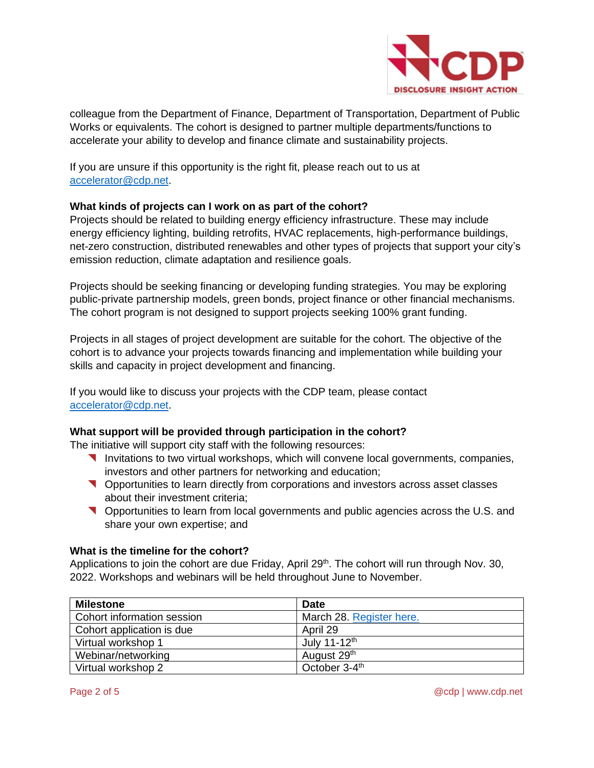

colleague from the Department of Finance, Department of Transportation, Department of Public Works or equivalents. The cohort is designed to partner multiple departments/functions to accelerate your ability to develop and finance climate and sustainability projects.

If you are unsure if this opportunity is the right fit, please reach out to us at [accelerator@cdp.net.](mailto:accelerator@cdp.net)

### **What kinds of projects can I work on as part of the cohort?**

Projects should be related to building energy efficiency infrastructure. These may include energy efficiency lighting, building retrofits, HVAC replacements, high-performance buildings, net-zero construction, distributed renewables and other types of projects that support your city's emission reduction, climate adaptation and resilience goals.

Projects should be seeking financing or developing funding strategies. You may be exploring public-private partnership models, green bonds, project finance or other financial mechanisms. The cohort program is not designed to support projects seeking 100% grant funding.

Projects in all stages of project development are suitable for the cohort. The objective of the cohort is to advance your projects towards financing and implementation while building your skills and capacity in project development and financing.

If you would like to discuss your projects with the CDP team, please contact [accelerator@cdp.net.](mailto:accelerator@cdp.net)

## **What support will be provided through participation in the cohort?**

The initiative will support city staff with the following resources:

- **Invitations to two virtual workshops, which will convene local governments, companies,** investors and other partners for networking and education;
- Opportunities to learn directly from corporations and investors across asset classes about their investment criteria;
- Opportunities to learn from local governments and public agencies across the U.S. and share your own expertise; and

### **What is the timeline for the cohort?**

Applications to join the cohort are due Friday, April  $29<sup>th</sup>$ . The cohort will run through Nov. 30, 2022. Workshops and webinars will be held throughout June to November.

| <b>Milestone</b>           | <b>Date</b>               |
|----------------------------|---------------------------|
| Cohort information session | March 28. Register here.  |
| Cohort application is due  | April 29                  |
| Virtual workshop 1         | July 11-12 <sup>th</sup>  |
| Webinar/networking         | August 29 <sup>th</sup>   |
| Virtual workshop 2         | October 3-4 <sup>th</sup> |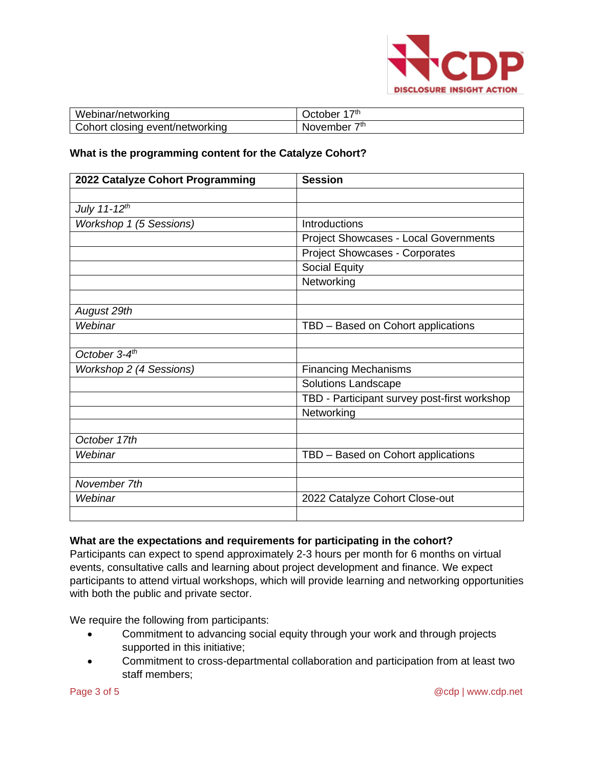

| Webinar/networking                   | ⊃tr<br>)ctober             |
|--------------------------------------|----------------------------|
| Cohort closing<br>. event/networking | $\tau$ th<br>ovember<br>NG |

#### **What is the programming content for the Catalyze Cohort?**

| 2022 Catalyze Cohort Programming | <b>Session</b>                               |
|----------------------------------|----------------------------------------------|
|                                  |                                              |
| July 11-12 <sup>th</sup>         |                                              |
| Workshop 1 (5 Sessions)          | Introductions                                |
|                                  | <b>Project Showcases - Local Governments</b> |
|                                  | <b>Project Showcases - Corporates</b>        |
|                                  | <b>Social Equity</b>                         |
|                                  | Networking                                   |
|                                  |                                              |
| August 29th                      |                                              |
| Webinar                          | TBD - Based on Cohort applications           |
|                                  |                                              |
| October $3-4$ <sup>th</sup>      |                                              |
| Workshop 2 (4 Sessions)          | <b>Financing Mechanisms</b>                  |
|                                  | <b>Solutions Landscape</b>                   |
|                                  | TBD - Participant survey post-first workshop |
|                                  | Networking                                   |
|                                  |                                              |
| October 17th                     |                                              |
| Webinar                          | TBD - Based on Cohort applications           |
|                                  |                                              |
| November 7th                     |                                              |
| Webinar                          | 2022 Catalyze Cohort Close-out               |
|                                  |                                              |

### **What are the expectations and requirements for participating in the cohort?**

Participants can expect to spend approximately 2-3 hours per month for 6 months on virtual events, consultative calls and learning about project development and finance. We expect participants to attend virtual workshops, which will provide learning and networking opportunities with both the public and private sector.

We require the following from participants:

- Commitment to advancing social equity through your work and through projects supported in this initiative;
- Commitment to cross-departmental collaboration and participation from at least two staff members;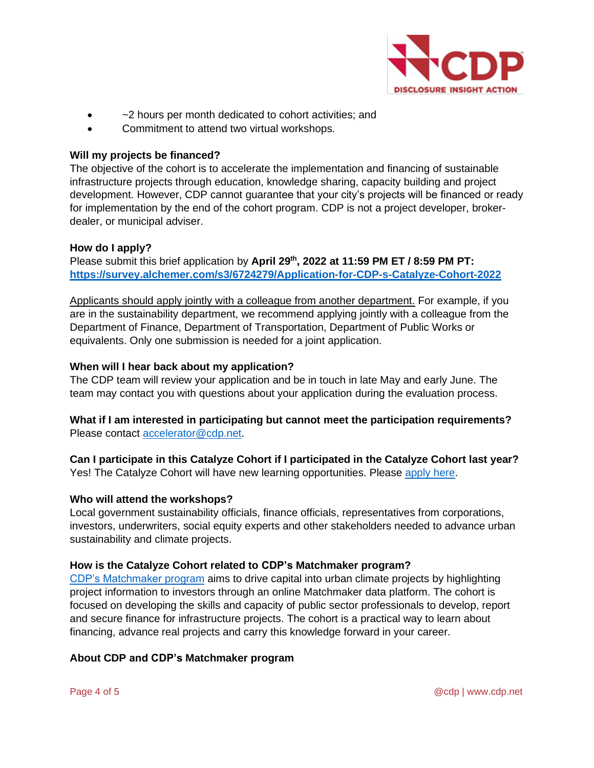

- ~2 hours per month dedicated to cohort activities; and
- Commitment to attend two virtual workshops.

# **Will my projects be financed?**

The objective of the cohort is to accelerate the implementation and financing of sustainable infrastructure projects through education, knowledge sharing, capacity building and project development. However, CDP cannot guarantee that your city's projects will be financed or ready for implementation by the end of the cohort program. CDP is not a project developer, brokerdealer, or municipal adviser.

### **How do I apply?**

Please submit this brief application by **April 29th, 2022 at 11:59 PM ET / 8:59 PM PT: <https://survey.alchemer.com/s3/6724279/Application-for-CDP-s-Catalyze-Cohort-2022>**

Applicants should apply jointly with a colleague from another department. For example, if you are in the sustainability department, we recommend applying jointly with a colleague from the Department of Finance, Department of Transportation, Department of Public Works or equivalents. Only one submission is needed for a joint application.

### **When will I hear back about my application?**

The CDP team will review your application and be in touch in late May and early June. The team may contact you with questions about your application during the evaluation process.

# **What if I am interested in participating but cannot meet the participation requirements?**  Please contact [accelerator@cdp.net.](mailto:accelerator@cdp.net)

**Can I participate in this Catalyze Cohort if I participated in the Catalyze Cohort last year?** Yes! The Catalyze Cohort will have new learning opportunities. Please [apply here.](https://survey.alchemer.com/s3/6724279/Application-for-CDP-s-Catalyze-Cohort-2022)

### **Who will attend the workshops?**

Local government sustainability officials, finance officials, representatives from corporations, investors, underwriters, social equity experts and other stakeholders needed to advance urban sustainability and climate projects.

# **How is the Catalyze Cohort related to CDP's Matchmaker program?**

[CDP's Matchmaker](https://www.cdp.net/en/cities/matchmaker) program aims to drive capital into urban climate projects by highlighting project information to investors through an online Matchmaker data platform. The cohort is focused on developing the skills and capacity of public sector professionals to develop, report and secure finance for infrastructure projects. The cohort is a practical way to learn about financing, advance real projects and carry this knowledge forward in your career.

### **About CDP and CDP's Matchmaker program**